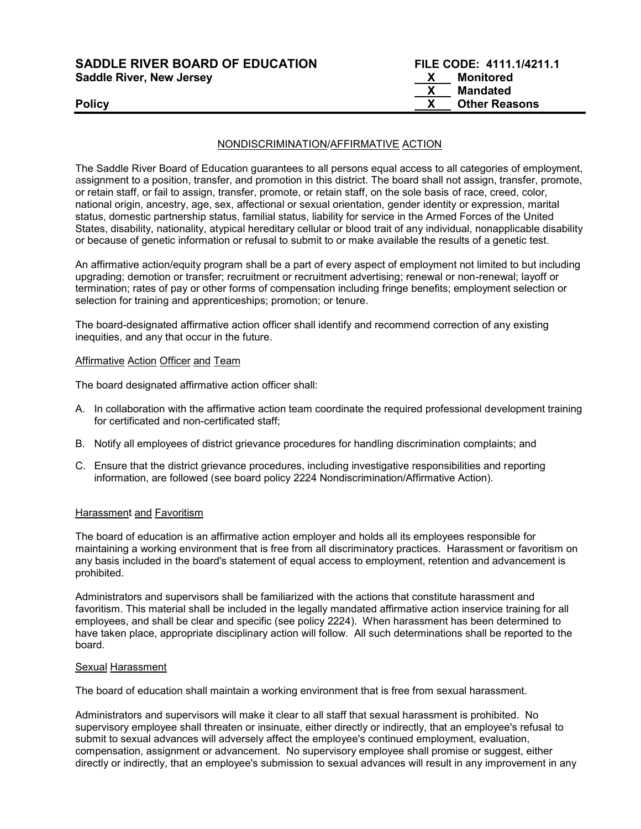SADDLE RIVER BOARD OF EDUCATION FILE CODE: 4111.1/4211.1 Saddle River, New Jersey New York 1997 (New York 1997) 1998 (New York 1998) 1998

# X Mandated Policy **X** Other Reasons

### NONDISCRIMINATION/AFFIRMATIVE ACTION

The Saddle River Board of Education guarantees to all persons equal access to all categories of employment, assignment to a position, transfer, and promotion in this district. The board shall not assign, transfer, promote, or retain staff, or fail to assign, transfer, promote, or retain staff, on the sole basis of race, creed, color, national origin, ancestry, age, sex, affectional or sexual orientation, gender identity or expression, marital status, domestic partnership status, familial status, liability for service in the Armed Forces of the United States, disability, nationality, atypical hereditary cellular or blood trait of any individual, nonapplicable disability or because of genetic information or refusal to submit to or make available the results of a genetic test.

An affirmative action/equity program shall be a part of every aspect of employment not limited to but including upgrading; demotion or transfer; recruitment or recruitment advertising; renewal or non-renewal; layoff or termination; rates of pay or other forms of compensation including fringe benefits; employment selection or selection for training and apprenticeships; promotion; or tenure.

The board-designated affirmative action officer shall identify and recommend correction of any existing inequities, and any that occur in the future.

#### Affirmative Action Officer and Team

The board designated affirmative action officer shall:

- A. In collaboration with the affirmative action team coordinate the required professional development training for certificated and non-certificated staff;
- B. Notify all employees of district grievance procedures for handling discrimination complaints; and
- C. Ensure that the district grievance procedures, including investigative responsibilities and reporting information, are followed (see board policy 2224 Nondiscrimination/Affirmative Action).

## **Harassment and Favoritism**

The board of education is an affirmative action employer and holds all its employees responsible for maintaining a working environment that is free from all discriminatory practices. Harassment or favoritism on any basis included in the board's statement of equal access to employment, retention and advancement is prohibited.

Administrators and supervisors shall be familiarized with the actions that constitute harassment and favoritism. This material shall be included in the legally mandated affirmative action inservice training for all employees, and shall be clear and specific (see policy 2224). When harassment has been determined to have taken place, appropriate disciplinary action will follow. All such determinations shall be reported to the board.

#### Sexual Harassment

The board of education shall maintain a working environment that is free from sexual harassment.

Administrators and supervisors will make it clear to all staff that sexual harassment is prohibited. No supervisory employee shall threaten or insinuate, either directly or indirectly, that an employee's refusal to submit to sexual advances will adversely affect the employee's continued employment, evaluation, compensation, assignment or advancement. No supervisory employee shall promise or suggest, either directly or indirectly, that an employee's submission to sexual advances will result in any improvement in any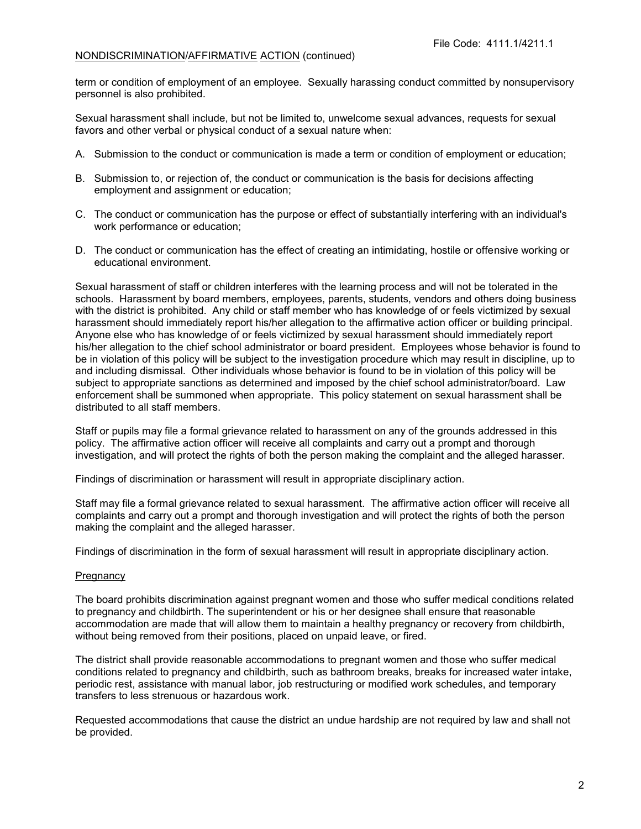term or condition of employment of an employee. Sexually harassing conduct committed by nonsupervisory personnel is also prohibited.

Sexual harassment shall include, but not be limited to, unwelcome sexual advances, requests for sexual favors and other verbal or physical conduct of a sexual nature when:

- A. Submission to the conduct or communication is made a term or condition of employment or education;
- B. Submission to, or rejection of, the conduct or communication is the basis for decisions affecting employment and assignment or education;
- C. The conduct or communication has the purpose or effect of substantially interfering with an individual's work performance or education;
- D. The conduct or communication has the effect of creating an intimidating, hostile or offensive working or educational environment.

Sexual harassment of staff or children interferes with the learning process and will not be tolerated in the schools. Harassment by board members, employees, parents, students, vendors and others doing business with the district is prohibited. Any child or staff member who has knowledge of or feels victimized by sexual harassment should immediately report his/her allegation to the affirmative action officer or building principal. Anyone else who has knowledge of or feels victimized by sexual harassment should immediately report his/her allegation to the chief school administrator or board president. Employees whose behavior is found to be in violation of this policy will be subject to the investigation procedure which may result in discipline, up to and including dismissal. Other individuals whose behavior is found to be in violation of this policy will be subject to appropriate sanctions as determined and imposed by the chief school administrator/board. Law enforcement shall be summoned when appropriate. This policy statement on sexual harassment shall be distributed to all staff members.

Staff or pupils may file a formal grievance related to harassment on any of the grounds addressed in this policy. The affirmative action officer will receive all complaints and carry out a prompt and thorough investigation, and will protect the rights of both the person making the complaint and the alleged harasser.

Findings of discrimination or harassment will result in appropriate disciplinary action.

Staff may file a formal grievance related to sexual harassment. The affirmative action officer will receive all complaints and carry out a prompt and thorough investigation and will protect the rights of both the person making the complaint and the alleged harasser.

Findings of discrimination in the form of sexual harassment will result in appropriate disciplinary action.

#### **Pregnancy**

The board prohibits discrimination against pregnant women and those who suffer medical conditions related to pregnancy and childbirth. The superintendent or his or her designee shall ensure that reasonable accommodation are made that will allow them to maintain a healthy pregnancy or recovery from childbirth, without being removed from their positions, placed on unpaid leave, or fired.

The district shall provide reasonable accommodations to pregnant women and those who suffer medical conditions related to pregnancy and childbirth, such as bathroom breaks, breaks for increased water intake, periodic rest, assistance with manual labor, job restructuring or modified work schedules, and temporary transfers to less strenuous or hazardous work.

Requested accommodations that cause the district an undue hardship are not required by law and shall not be provided.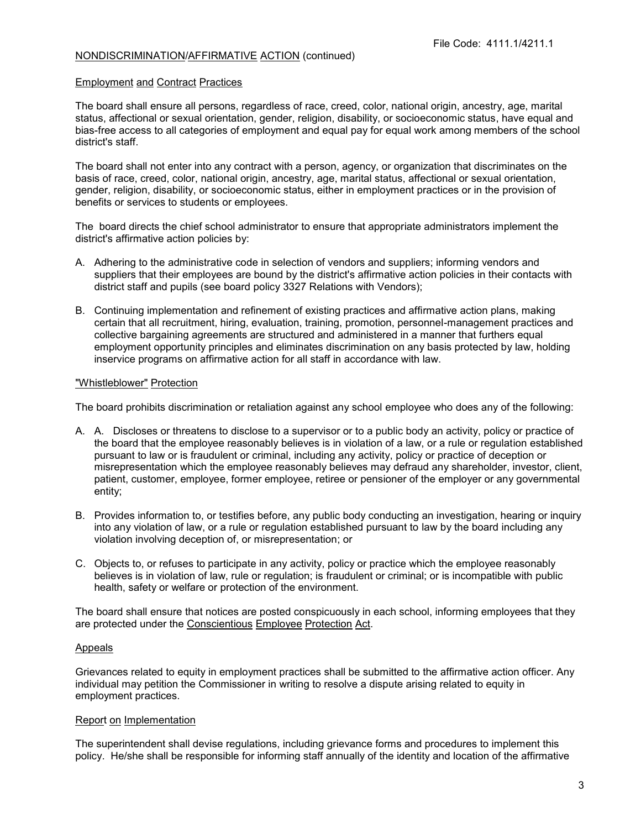#### Employment and Contract Practices

The board shall ensure all persons, regardless of race, creed, color, national origin, ancestry, age, marital status, affectional or sexual orientation, gender, religion, disability, or socioeconomic status, have equal and bias-free access to all categories of employment and equal pay for equal work among members of the school district's staff.

The board shall not enter into any contract with a person, agency, or organization that discriminates on the basis of race, creed, color, national origin, ancestry, age, marital status, affectional or sexual orientation, gender, religion, disability, or socioeconomic status, either in employment practices or in the provision of benefits or services to students or employees.

The board directs the chief school administrator to ensure that appropriate administrators implement the district's affirmative action policies by:

- A. Adhering to the administrative code in selection of vendors and suppliers; informing vendors and suppliers that their employees are bound by the district's affirmative action policies in their contacts with district staff and pupils (see board policy 3327 Relations with Vendors);
- B. Continuing implementation and refinement of existing practices and affirmative action plans, making certain that all recruitment, hiring, evaluation, training, promotion, personnel-management practices and collective bargaining agreements are structured and administered in a manner that furthers equal employment opportunity principles and eliminates discrimination on any basis protected by law, holding inservice programs on affirmative action for all staff in accordance with law.

#### "Whistleblower" Protection

The board prohibits discrimination or retaliation against any school employee who does any of the following:

- A. A. Discloses or threatens to disclose to a supervisor or to a public body an activity, policy or practice of the board that the employee reasonably believes is in violation of a law, or a rule or regulation established pursuant to law or is fraudulent or criminal, including any activity, policy or practice of deception or misrepresentation which the employee reasonably believes may defraud any shareholder, investor, client, patient, customer, employee, former employee, retiree or pensioner of the employer or any governmental entity;
- B. Provides information to, or testifies before, any public body conducting an investigation, hearing or inquiry into any violation of law, or a rule or regulation established pursuant to law by the board including any violation involving deception of, or misrepresentation; or
- C. Objects to, or refuses to participate in any activity, policy or practice which the employee reasonably believes is in violation of law, rule or regulation; is fraudulent or criminal; or is incompatible with public health, safety or welfare or protection of the environment.

The board shall ensure that notices are posted conspicuously in each school, informing employees that they are protected under the Conscientious Employee Protection Act.

#### Appeals

Grievances related to equity in employment practices shall be submitted to the affirmative action officer. Any individual may petition the Commissioner in writing to resolve a dispute arising related to equity in employment practices.

#### Report on Implementation

The superintendent shall devise regulations, including grievance forms and procedures to implement this policy. He/she shall be responsible for informing staff annually of the identity and location of the affirmative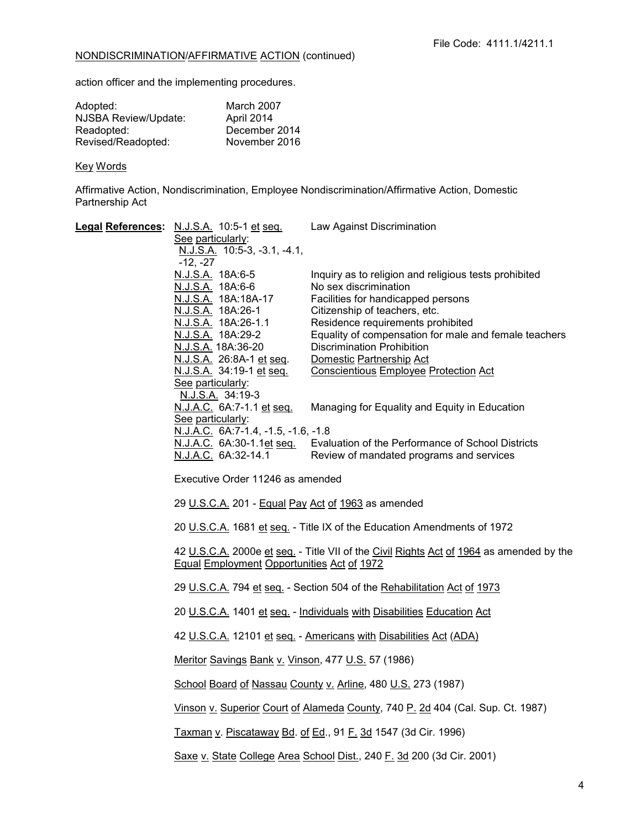action officer and the implementing procedures.

| Adopted:             | March 2007    |
|----------------------|---------------|
| NJSBA Review/Update: | April 2014    |
| Readopted:           | December 2014 |
| Revised/Readopted:   | November 2016 |

# Key Words

Affirmative Action, Nondiscrimination, Employee Nondiscrimination/Affirmative Action, Domestic Partnership Act

|  | Legal References: N.J.S.A. 10:5-1 et seq.                                                                                                                                                                                                                                                                                                                                                                                                                                                                                                                                                                                                                                                                                                           | Law Against Discrimination                                            |  |
|--|-----------------------------------------------------------------------------------------------------------------------------------------------------------------------------------------------------------------------------------------------------------------------------------------------------------------------------------------------------------------------------------------------------------------------------------------------------------------------------------------------------------------------------------------------------------------------------------------------------------------------------------------------------------------------------------------------------------------------------------------------------|-----------------------------------------------------------------------|--|
|  | See particularly:<br>N.J.S.A. 10:5-3, -3.1, -4.1,                                                                                                                                                                                                                                                                                                                                                                                                                                                                                                                                                                                                                                                                                                   |                                                                       |  |
|  | $-12, -27$                                                                                                                                                                                                                                                                                                                                                                                                                                                                                                                                                                                                                                                                                                                                          |                                                                       |  |
|  | N.J.S.A. 18A:6-5                                                                                                                                                                                                                                                                                                                                                                                                                                                                                                                                                                                                                                                                                                                                    | Inquiry as to religion and religious tests prohibited                 |  |
|  | N.J.S.A. 18A:6-6<br>N.J.S.A. 18A:18A-17                                                                                                                                                                                                                                                                                                                                                                                                                                                                                                                                                                                                                                                                                                             | No sex discrimination<br>Facilities for handicapped persons           |  |
|  | N.J.S.A. 18A:26-1                                                                                                                                                                                                                                                                                                                                                                                                                                                                                                                                                                                                                                                                                                                                   | Citizenship of teachers, etc.                                         |  |
|  | <u>N.J.S.A.</u> 18A:26-1.1                                                                                                                                                                                                                                                                                                                                                                                                                                                                                                                                                                                                                                                                                                                          | Residence requirements prohibited                                     |  |
|  | N.J.S.A. 18A:29-2                                                                                                                                                                                                                                                                                                                                                                                                                                                                                                                                                                                                                                                                                                                                   | Equality of compensation for male and female teachers                 |  |
|  | N.J.S.A. 18A:36-20<br>N.J.S.A. 26:8A-1 et seq.                                                                                                                                                                                                                                                                                                                                                                                                                                                                                                                                                                                                                                                                                                      | <b>Discrimination Prohibition</b><br>Domestic Partnership Act         |  |
|  | N.J.S.A. 34:19-1 et seq.                                                                                                                                                                                                                                                                                                                                                                                                                                                                                                                                                                                                                                                                                                                            | <b>Conscientious Employee Protection Act</b>                          |  |
|  | See particularly:                                                                                                                                                                                                                                                                                                                                                                                                                                                                                                                                                                                                                                                                                                                                   |                                                                       |  |
|  | N.J.S.A. 34:19-3                                                                                                                                                                                                                                                                                                                                                                                                                                                                                                                                                                                                                                                                                                                                    |                                                                       |  |
|  | N.J.A.C. 6A:7-1.1 et seq.<br>See particularly:                                                                                                                                                                                                                                                                                                                                                                                                                                                                                                                                                                                                                                                                                                      | Managing for Equality and Equity in Education                         |  |
|  | N.J.A.C. 6A:7-1.4, -1.5, -1.6, -1.8                                                                                                                                                                                                                                                                                                                                                                                                                                                                                                                                                                                                                                                                                                                 |                                                                       |  |
|  | <u>N.J.A.C.</u> 6A:30-1.1 <u>et seq.</u>                                                                                                                                                                                                                                                                                                                                                                                                                                                                                                                                                                                                                                                                                                            | Evaluation of the Performance of School Districts                     |  |
|  | N.J.A.C. 6A:32-14.1                                                                                                                                                                                                                                                                                                                                                                                                                                                                                                                                                                                                                                                                                                                                 | Review of mandated programs and services                              |  |
|  | Executive Order 11246 as amended<br>29 U.S.C.A. 201 - Equal Pay Act of 1963 as amended<br>20 U.S.C.A. 1681 et seq. - Title IX of the Education Amendments of 1972<br>42 U.S.C.A. 2000e et seq. - Title VII of the Civil Rights Act of 1964 as amended by the<br><b>Equal Employment Opportunities Act of 1972</b><br>29 U.S.C.A. 794 et seq. - Section 504 of the Rehabilitation Act of 1973<br>20 U.S.C.A. 1401 et seq. - Individuals with Disabilities Education Act<br>42 U.S.C.A. 12101 et seq. - Americans with Disabilities Act (ADA)<br>Meritor Savings Bank v. Vinson, 477 U.S. 57 (1986)<br>School Board of Nassau County v. Arline, 480 U.S. 273 (1987)<br>Vinson v. Superior Court of Alameda County, 740 P. 2d 404 (Cal. Sup. Ct. 1987) |                                                                       |  |
|  |                                                                                                                                                                                                                                                                                                                                                                                                                                                                                                                                                                                                                                                                                                                                                     |                                                                       |  |
|  |                                                                                                                                                                                                                                                                                                                                                                                                                                                                                                                                                                                                                                                                                                                                                     |                                                                       |  |
|  |                                                                                                                                                                                                                                                                                                                                                                                                                                                                                                                                                                                                                                                                                                                                                     |                                                                       |  |
|  |                                                                                                                                                                                                                                                                                                                                                                                                                                                                                                                                                                                                                                                                                                                                                     |                                                                       |  |
|  |                                                                                                                                                                                                                                                                                                                                                                                                                                                                                                                                                                                                                                                                                                                                                     |                                                                       |  |
|  |                                                                                                                                                                                                                                                                                                                                                                                                                                                                                                                                                                                                                                                                                                                                                     |                                                                       |  |
|  |                                                                                                                                                                                                                                                                                                                                                                                                                                                                                                                                                                                                                                                                                                                                                     |                                                                       |  |
|  |                                                                                                                                                                                                                                                                                                                                                                                                                                                                                                                                                                                                                                                                                                                                                     |                                                                       |  |
|  |                                                                                                                                                                                                                                                                                                                                                                                                                                                                                                                                                                                                                                                                                                                                                     |                                                                       |  |
|  | Taxman v. Piscataway Bd. of Ed., 91 F. 3d 1547 (3d Cir. 1996)                                                                                                                                                                                                                                                                                                                                                                                                                                                                                                                                                                                                                                                                                       |                                                                       |  |
|  |                                                                                                                                                                                                                                                                                                                                                                                                                                                                                                                                                                                                                                                                                                                                                     | Saxe v. State College Area School Dist., 240 F. 3d 200 (3d Cir. 2001) |  |